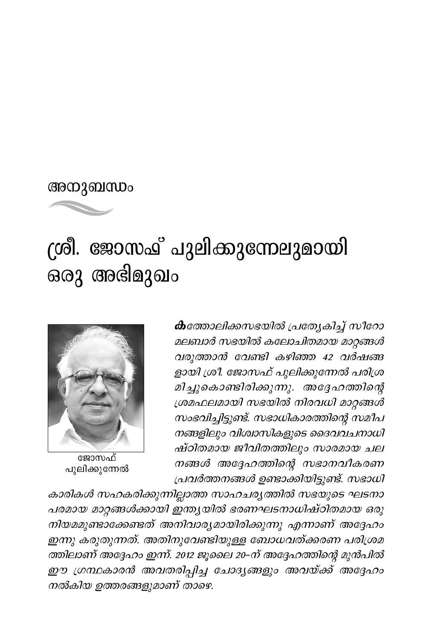## അനുബന്ധം



## ശ്രീ. ജോസഫ് പുലിക്കുന്നേലുമായി ഒരു അഭിമുഖം



ജോസഫ് പുലിക്കുന്നേൽ

കത്തോലിക്കസഭയിൽ പ്രത്യേകിച്ച് സീറോ മലബാർ സഭയിൽ കലോചിതമായ മാറ്റങ്ങൾ വരുത്താൻ വേണ്ടി കഴിഞ്ഞ 42 വർഷങ്ങ ളായി ശ്രീ. ജോസഫ് പുലിക്കുന്നേൽ പരിശ്ര മിച്ചുകൊണ്ടിരിക്കുന്നു. അദ്ദേഹത്തിന്റെ ശ്രമഫലമായി സഭയിൽ നിരവധി മാറ്റങ്ങൾ സംഭവിച്ചിട്ടുണ്ട്. സഭാധികാരത്തിന്റെ സമീപ നങ്ങളിലും വിശ്വാസികളുടെ ദൈവവചനാധി ഷ്ഠിതമായ ജീവിതത്തിലും സാരമായ ചല നങ്ങൾ അദ്ദേഹത്തിന്റെ സഭാനവീകരണ പ്രവർത്തനങ്ങൾ ഉണ്ടാക്കിയിട്ടുണ്ട്. സഭാധി

കാരികൾ സഹകരിക്കുന്നില്ലാത്ത സാഹചര്യത്തിൽ സഭയുടെ ഘടനാ പരമായ മാറ്റങ്ങൾക്കായി ഇന്ത്യയിൽ ഭരണഘടനാധിഷ്ഠിതമായ ഒരു നിയമമുണ്ടാക്കേണ്ടത് അനിവാര്യമായിരിക്കുന്നു എന്നാണ് അദ്ദേഹം ഇന്നു കരുതുന്നത്. അതിനുവേണ്ടിയുള്ള ബോധവത്ക്കരണ പരിശ്രമ ത്തിലാണ് അദ്ദേഹം ഇന്ന്. 2012 ജൂലൈ 20–ന് അദ്ദേഹത്തിന്റെ മുൻപിൽ ഈ ഗ്രന്ഥകാരൻ അവതരിപ്പിച്ച ചോദ്യങ്ങളും അവയ്ക്ക് അദ്ദേഹം നൽകിയ ഉത്തരങ്ങളുമാണ് താഴെ.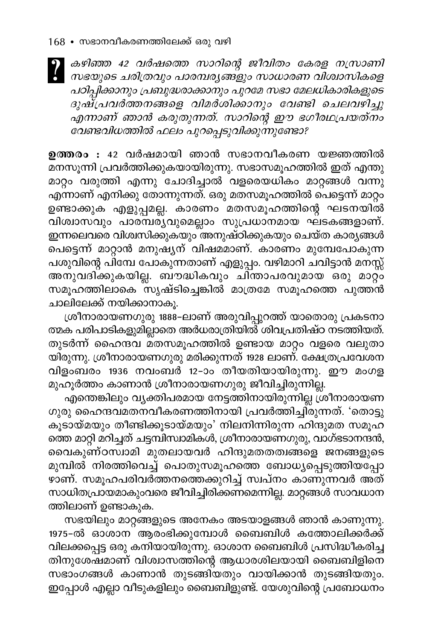കഴിഞ്ഞ 42 വർഷത്തെ സാറിന്റെ ജീവിതം കേരള നസ്രാണി | സഭയുടെ ചരിത്രവും പാരമ്പര്യങ്ങളും സാധാരണ വിശ്വാസികളെ പഠിപ്പിക്കാനും പ്രബുദ്ധരാക്കാനും പുറമേ സഭാ മേലധികാരികളുടെ ദുഷ്പ്രവർത്തനങ്ങളെ വിമർശിക്കാനും വേണ്ടി ചെലവഴിച്ചു എന്നാണ് ഞാൻ കരുതുന്നത്. സാറിന്റെ ഈ ഭഗീരഥപ്രയത്നം വേണ്ടവിധത്തിൽ ഫലം പുറപ്പെടുവിക്കുന്നുണ്ടോ?

ഉത്തരം : 42 വർഷമായി ഞാൻ സഭാനവീകരണ യജ്ഞത്തിൽ മനസൂന്നി പ്രവർത്തിക്കുകയായിരുന്നു. സഭാസമൂഹത്തിൽ ഇത് എന്തു മാറ്റം വരുത്തി എന്നു ചോദിച്ചാൽ വളരെയധികം മാറ്റങ്ങൾ വന്നു എന്നാണ് എനിക്കു തോന്നുന്നത്. ഒരു മതസമൂഹത്തിൽ പെട്ടെന്ന് മാറ്റം ഉണ്ടാക്കുക എളുപ്പമല്ല. കാരണം മതസമൂഹത്തിന്റെ ഘടനയിൽ വിശ്വാസവും പാരമ്പര്യവുമെല്ലാം സുപ്രധാനമായ ഘടകങ്ങളാണ്. ഇന്നലെവരെ വിശ്വസിക്കുകയും അനുഷ്ഠിക്കുകയും ചെയ്ത കാര്യങ്ങൾ പെട്ടെന്ന് മാറ്റാൻ മനുഷ്യന് വിഷമമാണ്. കാരണം മുമ്പേപോകുന്ന പശുവിന്റെ പിമ്പേ പോകുന്നതാണ് എളുപ്പം. വഴിമാറി ചവിട്ടാൻ മനസ്സ് അനുവദിക്കുകയില്ല. ബൗദ്ധികവും ചിന്താപരവുമായ ഒരു മാറ്റം സമൂഹത്തിലാകെ സൃഷ്ടിച്ചെങ്കിൽ മാത്രമേ സമൂഹത്തെ പുത്തൻ ചാലിലേക്ക് നയിക്കാനാകൂ.

ശ്രീനാരായണഗുരു 1888-ലാണ് അരുവിപ്പുറത്ത് യാതൊരു പ്രകടനാ ത്മക പരിപാടികളുമില്ലാതെ അർധരാത്രിയിൽ ശിവപ്രതിഷ്ഠ നടത്തിയത്. തുടർന്ന് ഹൈന്ദവ മതസമൂഹത്തിൽ ഉണ്ടായ മാറ്റം വളരെ വലുതാ യിരുന്നു. ശ്രീനാരായണഗുരു മരിക്കുന്നത് 1928 ലാണ്. ക്ഷേത്രപ്രവേശന വിളംബരം 1936 നവംബർ 12-ാം തീയതിയായിരുന്നു. ഈ മംഗള മുഹൂർത്തം കാണാൻ ശ്രീനാരായണഗുരു ജീവിച്ചിരുന്നില്ല.

എന്തെങ്കിലും വ്യക്തിപരമായ നേട്ടത്തിനായിരുന്നില്ല ശ്രീനാരായണ ഗുരു ഹൈന്ദവമതനവീകരണത്തിനായി പ്രവർത്തിച്ചിരുന്നത്. 'തൊട്ടു കൂടായ്മയും തീണ്ടിക്കൂടായ്മയും' നിലനിന്നിരുന്ന ഹിന്ദുമത സമൂഹ ത്തെ മാറ്റി മറിച്ചത് ചട്ടമ്പിസ്വാമികൾ, ശ്രീനാരായണഗുരു, വാഗ്ഭടാനന്ദൻ, വൈകുണ്ഠസ്ഥമി മുതലായവർ ഹിന്ദുമതതത്വങ്ങളെ ജനങ്ങളുടെ മുമ്പിൽ നിരത്തിവെച്ച് പൊതുസമൂഹത്തെ ബോധ്യപ്പെടുത്തിയപ്പോ ഴാണ്. സമൂഹപരിവര്ത്തനത്തെക്കുറിച്ച് സ്ഥ്നം കാണുന്നവർ അത് സാധിതപ്രായമാകുംവരെ ജീവിച്ചിരിക്കണമെന്നില്ല. മാറ്റങ്ങൾ സാവധാന ത്തിലാണ് ഉണ്ടാകുക.

സഭയിലും മാറ്റങ്ങളുടെ അനേകം അടയാളങ്ങൾ ഞാൻ കാണുന്നു. 1975-ൽ ഓശാന<sup>്</sup> ആരംഭിക്കുമ്പോൾ ബൈബിൾ കത്തോലിക്കർക്ക് വിലക്കപ്പെട്ട ഒരു കനിയായിരുന്നു. ഓശാന ബൈബിൾ പ്രസിദ്ധീകരിച്ച തിനുശേഷമാണ് വിശ്വാസത്തിന്റെ ആധാരശിലയായി ബൈബിളിനെ സഭാംഗങ്ങൾ കാണാൻ തുടങ്ങിയതും വായിക്കാൻ തുടങ്ങിയതും. ഇപ്പോൾ എല്ലാ വീടുകളിലും ബൈബിളുണ്ട്. യേശുവിന്റെ പ്രബോധനം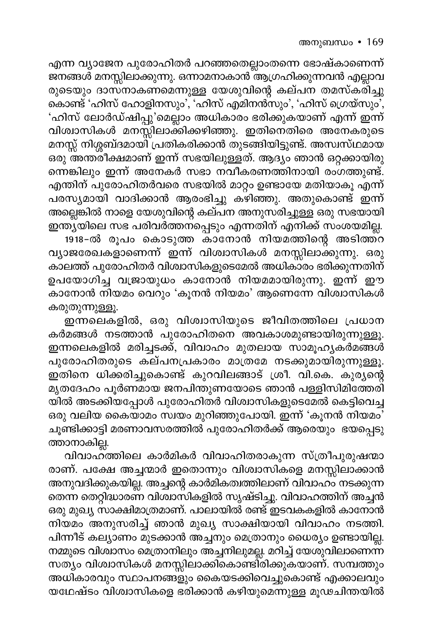എന്ന വ്യാജേന പുരോഹിതർ പറഞ്ഞതെല്ലാംതന്നെ ഭോഷ്കാണെന്ന് ജനങ്ങൾ മനസ്സിലാക്കുന്നു. ഒന്നാമനാകാൻ ആഗ്രഹിക്കുന്നവൻ എല്ലാവ രുടെയും ദാസനാകണമെന്നുള്ള യേശുവിന്റെ കല്പന തമസ്കരിച്ചു കൊണ്ട് 'ഹിസ് ഹോളിനസും', 'ഹിസ് എമിനൻസും', 'ഹിസ് ഗ്രെയ്സും', 'ഹിസ് ലോർഡ്ഷിപ്പു'മെല്ലാം അധികാരം ഭരിക്കുകയാണ് എന്ന് ഇന്ന് വിശ്വാസികൾ മനസ്സിലാക്കിക്കഴിഞ്ഞു. ഇതിനെതിരെ അനേകരുടെ മനസ്സ് നിശ്ശബ്ദമായി പ്രതികരിക്കാൻ തുടങ്ങിയിട്ടുണ്ട്. അസ്വസ്ഥമായ ഒരു അന്ത്രീക്ഷമാണ് ഇന്ന് സഭയിലുള്ളത്. ആദ്യം ഞാൻ ഒറ്റക്കായിരു ന്നെങ്കിലും ഇന്ന് അനേകർ സഭാ നവീകരണത്തിനായി രംഗത്തുണ്ട്. എന്തിന് പുരോഹിതർവരെ സഭയിൽ മാറ്റം ഉണ്ടായേ മതിയാകൂ എന്ന് പരസ്യമായി വാദിക്കാൻ ആരംഭിച്ചു കഴിഞ്ഞു. അതുകൊണ്ട് ഇന്ന് അല്ലെങ്കിൽ നാളെ യേശുവിന്റെ കല്പന അനുസരിച്ചുള്ള ഒരു സഭയായി ഇന്ത്യയിലെ സഭ പരിവർത്തന്പ്പെടും എന്നതിന് എനിക്ക് സംശയമില്ല. 1918-ൽ രൂപം കൊടുത്ത കാനോൻ നിയമത്തിന്റെ അടിത്ത്റ വ്യാജരേഖകളാണെന്ന് ഇന്ന് വിശ്വാസികൾ മനസ്സിലാക്കുന്നു. ഒരു കാലത്ത് പുരോഹിതർ വിശ്വാസികളുടെമേൽ അധികാരം ഭരിക്കുന്നതിന് ഉപയോഗിച്ച വജ്രായുധം കാനോൻ നിയമമായിരുന്നു. ഇന്ന് ഈ കാനോൻ നിയമം വെറും 'കൂനൻ നിയമം' ആണെന്നേ വിശ്വാസികൾ കരുതുന്നുള്ളൂ.

ഇന്നലെകളിൽ, ഒരു വിശ്വാസിയുടെ ജീവിതത്തിലെ പ്രധാന കർമങ്ങൾ നടത്താൻ പുരോഹിതനെ അവകാശമുണ്ടായിരുന്നുള്ളൂ. …………<br>ഇന്നലെകളിൽ മരിച്ചടക്ക്, വിവാഹം മുതലായ സാമൂഹൃക്ർമങ്ങൾ പുരോഹിതരുടെ കല്പനപ്രകാരം മാത്രമേ നടക്കുമായിരുന്നുള്ളൂ. ഇതിനെ ധിക്കരിച്ചുകൊണ്ട് കുറവിലങ്ങാട് ശ്രീ. വി.കെ. കുര്യന്റെ മൃതദേഹം പൂർണമായ ജനപിന്തുണയോടെ ഞാൻ പള്ളിസിമിത്തേരി യിൽ അടക്കിയപ്പോൾ പുരോഹിതർ വിശ്വാസികളുടെമേൽ കെട്ടിവെച്ച ഒരു വലിയ കൈയാമം സ്വയം മുറിഞ്ഞുപോയി. ഇന്ന് 'കൂനൻ നിയമം' ചൂണ്ടിക്കാട്ടി മരണാവസരത്തിൽ പുരോഹിതർക്ക് ആരെയും ഭയപ്പെടു ത്താനാകില്ല.

വിവാഹ്ത്തിലെ കാർമികർ വിവാഹിതരാകുന്ന സ്ത്രീപുരുഷന്മാ രാണ്. പക്ഷേ അച്ചന്മാർ ഇതൊന്നും വിശ്വാസികളെ മനസ്സിലാക്കാൻ അനുവദിക്കുകയില്ല. അച്ചന്റെ കാർമികത്വത്തിലാണ് വിവാഹം നടക്കുന്ന തെന്ന തെറ്റിദ്ധാരണ വിശാസികളിൽ സൃഷ്ടിച്ചു. വിവാഹത്തിന് അച്ചൻ ഒരു മുഖ്യ സാക്ഷിമാത്രമാണ്. പാലായിൽ രണ്ട് ഇടവകകളിൽ കാനോൻ നിയമം അനുസരിച്ച് ഞാൻ മുഖ്യ സാക്ഷിയായി വിവാഹം നടത്തി. പിന്നീട് കല്യാണം മുടക്കാൻ അച്ചനും മെത്രാനും ധൈര്യം ഉണ്ടായില്ല. നമ്മുടെ വിശ്വാസം മെത്രാനിലും അച്ചനിലുമല്ല. മറിച്ച് യേശുവിലാണെന്ന സത്യം വിശ്വാസികൾ മനസ്സിലാക്കികൊണ്ടിരിക്കുകയാണ്. സമ്പത്തും അധികാരവും സ്ഥാപനങ്ങളും കൈയടക്കിവെച്ചുകൊണ്ട് എക്കാലവും യഥേഷ്ടം വിശ്വാസികളെ ഭരിക്കാൻ കഴിയുമെന്നുള്ള മൂഢചിന്തയിൽ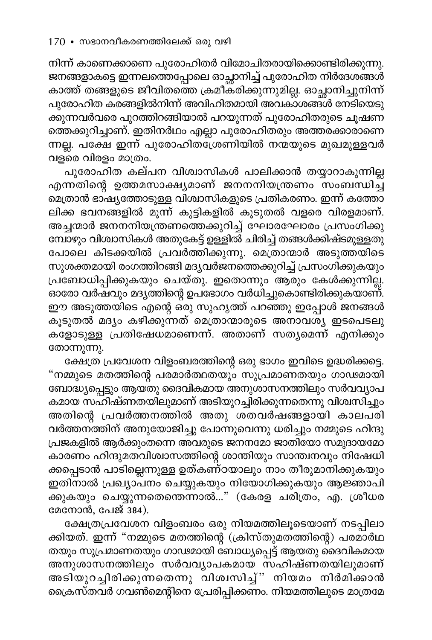നിന്ന് കാണെക്കാണെ പുരോഹിതർ വിമോചിതരായിക്കൊണ്ടിരിക്കുന്നു. ജനങ്ങളാകട്ടെ ഇന്നലത്തെപ്പോലെ ഓച്ഛാനിച്ച് പുരോഹിത നിർദേശങ്ങൾ<br>കാത്ത് തത്തലാള് തീകിലേച്ചം കാത്ത് തങ്ങളുടെ ജീവിതത്തെ ക്രമീകരിക്കുന്നുമില്ല. ഓച്ഛാനിച്ചുനിന്ന് പുരോഹിത കരങ്ങളിൽനിന്ന് അവിഹിതമായി അവകാശങ്ങൾ നേടിയെടു ക്കുന്നവർവരെ പുറത്തിറങ്ങിയാൽ പറയുന്നത് പുരോഹിതരുടെ ചൂഷണ ത്തെക്കുറിച്ചാണ്. ഇതിനർഥം എല്ലാ പുരോഹിതരും അത്തരക്കാരാണെ ന്നല്ല. പക്ഷേ ഇന്ന് പുരോഹിതശ്രേണിയിൽ നന്മയുടെ മുഖമുള്ളവർ വളരെ വിരളം മാത്രം.

പുരോഹിത കല്പന വിശ്വാസികൾ പാലിക്കാൻ തയ്യാറാകുന്നില്ല എന്നതിന്റെ ഉത്തമസാക്ഷ്യമാണ് ജനനനിയന്ത്രണം സംബന്ധിച്ച് മെത്രാൻ ഭാഷ്യത്തോടുള്ള വിശ്വാസികളുടെ പ്രതികരണം. ഇന്ന് കത്തോ ലിക്ക ഭവനങ്ങളിൽ മൂന്ന് കുട്ടികളിൽ കൂടുതൽ വളരെ വിരളമാണ്. അച്ചന്മാർ ജനനനിയന്ത്രണത്തെക്കുറിച്ച് ഘോരഘോരം പ്രസംഗിക്കു മ്പോഴും വിശ്വാസികൾ അതുകേട്ട് ഉള്ളിൽ ചിരിച്ച് തങ്ങൾക്കിഷ്ടമുള്ളതു പോലെ കിടക്കയിൽ പ്രവർത്തിക്കുന്നു. മെത്രാന്മാർ അടുത്തയിടെ സുശക്തമായി രംഗത്തിറങ്ങി മദ്യവർജനത്തെക്കുറിച്ച് പ്രസംഗിക്കുകയും പ്രബോധിപ്പിക്കുകയും ചെയ്തു. ഇതൊന്നും ആരും കേൾക്കുന്നില്ല. ഓരോ വർഷവും മദ്യത്തിന്റെ ഉപ്ഭോഗം വർധിച്ചുകൊണ്ടിരിക്കുകയാണ്. ഈ അടുത്തയിടെ എന്റെ ഒരു സുഹൃത്ത് പറഞ്ഞു ഇപ്പോൾ ജനങ്ങൾ കൂടുതൽ മദ്യം കഴിക്കുന്നത് മെത്രാന്മാരുടെ അനാവശ്യ ഇടപെടലു കളോടുള്ള പ്രതിഷേധമാണെന്ന്. അതാണ് സത്യമെന്ന് എനിക്കും തോന്നുന്നു.

ക്ഷേത്ര പ്രവേശന വിളംബരത്തിന്റെ ഒരു ഭാഗം ഇവിടെ ഉദ്ധരിക്കട്ടെ. "നമ്മുടെ മതത്തിന്റെ പരമാർത്ഥതയും സുപ്രമാണതയും ഗാഢമായി ബോദ്ധ്യപ്പെട്ടും ആയതു ദൈവികമായ അനുശാസനത്തിലും സർവവ്യാപ -------<sub>-</sub>,<br>കമായ സഹിഷ്ണതയിലുമാണ് അടിയുറച്ചിരിക്കുന്നതെന്നു വിശ്വസിച്ചും അതിന്റെ പ്രവർത്തനത്തിൽ അതു ശതവർഷങ്ങളായി കാലപ്രി വർത്തനത്തിന് അനുയോജിച്ചു പോന്നുവെന്നു ധരിച്ചും നമ്മുടെ ഹിന്ദു പ്രജകളിൽ ആർക്കുംതന്നെ അവരുടെ ജനനമോ ജാതിയോ സമുദായമോ .<br>കാരണം ഹിന്ദുമതവിശ്വാസത്തിന്റെ ശാന്തിയും സാന്ത്വനവും നിഷേധി ക്കപ്പെടാൻ പാടില്ലെന്നുള്ള ഉത്കണ്ഠയാലും നാം തീരുമാനിക്കുകയും ഇതിനാൽ പ്രഖ്യാപനം ചെയ്യുകയും നിയോഗിക്കുകയും ആജ്ഞാപി ക്കുകയും ചെയ്യുന്നതെന്തെന്നാൽ..." (കേരള ചരിത്രം, എ. ശ്രീധര മേനോൻ, പേജ് 384).

ക്ഷേത്രപ്രവേശന വിളംബരം ഒരു നിയമത്തിലൂടെയാണ് നടപ്പിലാ ക്കിയത്. ഇന്ന് "നമ്മുടെ മതത്തിന്റെ (ക്രിസ്തുമതത്തിന്റെ) പരമാർഥ തയും സുപ്രമാണതയും ഗാഢമായി ബോധ്യപ്പെട്ട് ആയതു ദൈവികമായ അനുശാസനത്തിലും സർവവ്യാപകമായ സഹിഷ്ണതയിലുമാണ് അടിയുറച്ചിരിക്കുന്നതെന്നു വിശ്വസിച്ച്" നിയമം നിർമിക്കാൻ ക്രൈസ്തവർ ഗവൺമെന്റിനെ പ്രേരിപ്പിക്കണം. നിയമത്തിലുടെ മാത്രമേ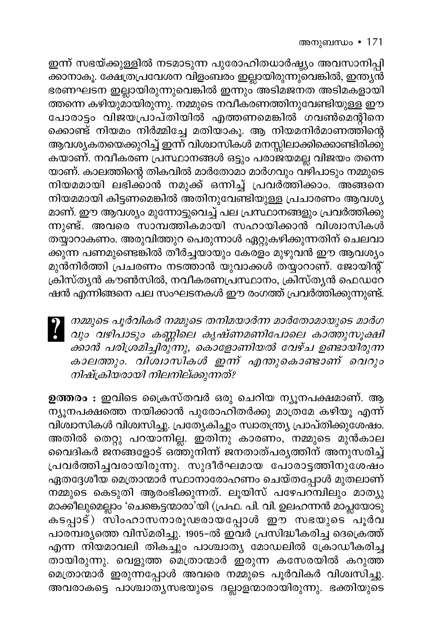## അനുബന്ധം • 171

ഇന്ന് സഭയ്ക്കുള്ളിൽ നടമാടുന്ന പുരോഹിതധാർഷ്ട്യം അവസാനിപ്പി ക്കാനാകൂ. ക്ഷേത്രപ്രവേശന വിളംബരം ഇല്ലായിരുന്നുവെങ്കിൽ, ഇന്ത്യൻ ഭരണഘടന ഇല്ലായിരുന്നുവെങ്കിൽ ഇന്നും അടിമജനത അടിമകളായി ത്തന്നെ കഴിയുമായിരുന്നു. നമ്മുടെ നവീകരണത്തിനുവേണ്ടിയുള്ള ഈ പോരാട്ടം വിജയപ്രാപ്തിയിൽ എത്തണമെങ്കിൽ ഗവൺമെന്റിനെ ക്കൊണ്ട് നിയമം നിർമ്മിച്ചേ മതിയാകൂ. ആ നിയമനിർമാണത്തിന്റെ ആവശ്യകതയെക്കുറിച്ച് ഇന്ന് വിശ്വാസികൾ മനസ്സിലാക്കിക്കൊണ്ടിരിക്കു കയാണ്. നവീകരണ പ്രസ്ഥാനങ്ങൾ ഒട്ടും പരാജയമല്ല വിജയം തന്നെ യാണ്. കാലത്തിന്റെ തികവിൽ മാർതോമാ മാർഗവും വഴിപാടും നമ്മുടെ നിയമമായി ലഭിക്കാൻ നമുക്ക് ഒന്നിച്ച് പ്രവർത്തിക്കാം. അങ്ങനെ നിയമമായി കിട്ടണമെങ്കിൽ അതിനുവേണ്ടിയുള്ള പ്രചാരണം ആവശ്യ മാണ്. ഈ ആവശ്യം മുന്നോട്ടുവെച്ച് പല പ്രസ്ഥാനങ്ങളും പ്രവർത്തിക്കു ന്നുണ്ട്. അവരെ സാമ്പത്തികമായി സഹായിക്കാൻ വിശ്വാസികൾ തയ്യാറാകണം. അരുവിത്തുറ പെരുന്നാൾ ഏറ്റുകഴിക്കുന്നതിന് ചെലവാ ക്കുന്ന പണമുണ്ടെങ്കിൽ തീർച്ചയായും കേരളം മുഴുവൻ ഈ ആവശ്യം മുൻനിർത്തി പ്രചരണം നടത്താൻ യുവാക്കൾ തയ്യാറാണ്. ജോയിന്റ് ക്രിസ്ത്യൻ കൗൺസിൽ, നവീകരണപ്രസ്ഥാനം, ക്രിസ്ത്യൻ ഫെഡറേ ഷൻ എന്നിങ്ങനെ പല സംഘടനകൾ ഈ രംഗത്ത് പ്രവർത്തിക്കുന്നുണ്ട്.

| നമ്മുടെ പൂർവികർ നമ്മുടെ തനിമയാർന്ന മാർതോമായുടെ മാർഗ<br>| വും വഴിപാടും കണ്ണിലെ കൃഷ്ണമണിപോലെ കാത്തുസൂക്ഷി ക്കാൻ പരിശ്രമിച്ചിരുന്നു, കൊളോണിയൽ വേഴ്ച ഉണ്ടായിരുന്ന കാലത്തും. വിശ്വാസികൾ ഇന്ന് എന്തുകൊണ്ടാണ് വെറും നിഷ്ക്രിയരായി നിലനില്ക്കുന്നത്?

ഉത്തരം : ഇവിടെ ക്രൈസ്തവർ ഒരു ചെറിയ ന്യൂനപക്ഷമാണ്. ആ \_<br>ന്യൂനപക്ഷത്തെ നയിക്കാൻ പുരോഹിതർക്കു മാത്രമേ കഴിയൂ എന്ന് വിശ്വാസികൾ വിശ്വസിച്ചു. പ്രത്യേകിച്ചും സ്വാതന്ത്ര്യ പ്രാപ്തിക്കുശേഷം. അതിൽ തെറ്റു പറയാനില്ല. ഇതിനു കാരണം, നമ്മുടെ മുൻകാല വൈദികർ ജനങ്ങളോട് ഒത്തുനിന്ന് ജനതാത്പര്യത്തിന് അനുസരിച്ച് പ്രവർത്തിച്ചവരായിരുന്നു. സുദീർഘമായ പോരാട്ടത്തിനുശേഷം ഏതദ്ദേശീയ മെത്രാന്മാർ സ്ഥാനാരോഹണം ചെയ്തപ്പോൾ മുതലാണ് നമ്മുടെ കെടുതി ആരംഭിക്കുന്നത്. ലൂയിസ് പഴേപറമ്പിലും മാത്യു മാക്കിലുമെല്ലാം 'ചെങ്കെട്ടന്മാരാ'യി (പ്രഫ. പി. വി. ഉലഹന്നൻ മാപ്ലയോടു കടപ്പാട്) സിംഹാസനാരൂഢരായപ്പോൾ ഈ സഭയുടെ ്പൂർവ പാര്മ്പര്യത്തെ വിസ്മരിച്ചു. 1905-ൽ ഇവർ പ്രസിദ്ധീകരിച്ച ദെക്രെത്ത് എന്ന നിയമാവലി തികച്ചും പാശ്ചാത്യ മോഡലിൽ ക്രോഡീകരിച്ച തായിരുന്നു. വെളുത്ത മെത്രാന്മാർ ഇരുന്ന കസേരയിൽ കറുത്ത മെത്രാന്മാർ ഇരുന്നപ്പോൾ അവരെ നമ്മുടെ പൂർവികർ വിശ്വസിച്ചു. അവരാകട്ടെ പാശ്ചാതൃസഭയുടെ ദല്ലാളന്മാരായിരുന്നു. ഭക്തിയുടെ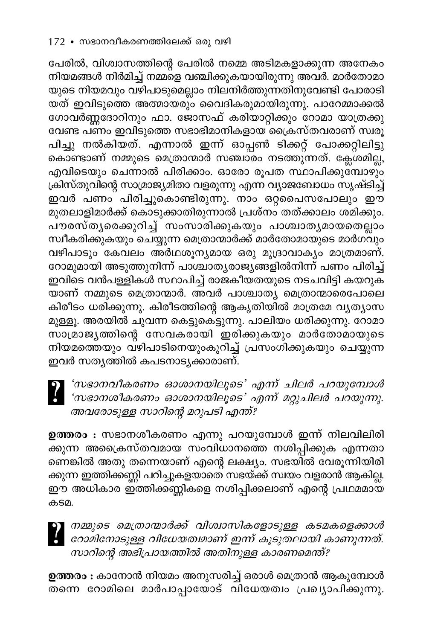പേരിൽ, വിശ്വാസത്തിന്റെ പേരിൽ നമ്മെ അടിമകളാക്കുന്ന അനേകം നിയമങ്ങൾ നിർമിച്ച് നമ്മളെ വഞ്ചിക്കുകയായിരുന്നു അവർ. മാർതോമാ യുടെ നിയമവും വഴിപാടുമെല്ലാം നിലനിർത്തുന്നതിനുവേണ്ടി പോരാടി യത് ഇവിടുത്തെ അത്മായരും വൈദികരുമായിരുന്നു. പാറേമ്മാക്കൽ ഗോവർണ്ണദോറിനും ഫാ. ജോസഫ് കരിയാറ്റിക്കും റോമാ യാത്രക്കു വേണ്ട പണം ഇവിടുത്തെ സഭാഭിമാനികളായ ക്രൈസ്തവരാണ് സ്വരൂ പിച്ചു നൽകിയത്. എന്നാൽ ഇന്ന് ഓപ്പൺ ടിക്കറ്റ് പോക്കറ്റിലിട്ടു കൊണ്ടാണ് നമ്മുടെ മെത്രാന്മാർ സഞ്ചാരം നടത്തുന്നത്. ക്ലേശമില്ല, എവിടെയും ചെന്നാൽ പിരിക്കാം. ഓരോ രൂപത സ്ഥാപിക്കുമ്പോഴും ക്രിസ്തുവിന്റെ സാമ്രാജ്യമിതാ വളരുന്നു എന്ന വ്യാജബോധം സൃഷ്ടിച്ച് ഇവർ പണം പിരിച്ചുകൊണ്ടിരുന്നു. നാം ഒറ്റപൈസപോലും ഈ മുതലാളിമാർക്ക് കൊടുക്കാതിരുന്നാൽ പ്രശ്നം തത്ക്കാലം ശമിക്കും. പ്**ൗരസ്തൃരെക്കുറിച്ച് സംസാരിക്കുകയും പാശ്ചാ**തൃമായതെല്ലാം സ്ഥീകരിക്കുകയും ചെയ്യുന്ന മെത്രാന്മാർക്ക് മാർതോമായുടെ മാർഗ്വും വഴിപാടും കേവലം അർഥശൂന്യമായ ഒരു മുദ്രാവാക്യം മാത്രമാണ്. റോമുമായി അടുത്തുനിന്ന് പാശ്ചാതൃരാജ്യങ്ങളിൽനിന്ന് പണം പിരിച്ച് ഇവിടെ വൻപള്ളികൾ സ്ഥാപിച്ച് രാജകീയതയുടെ നടചവിട്ടി കയറുക —<br>യാണ് നമ്മുടെ മെത്രാന്മാർ. അവർ പാശ്ചാത്യ മെത്രാന്മാരെപോലെ കിരീടം ധരിക്കുന്നു. കിരീടത്തിന്റെ ആകൃതിയിൽ മാത്രമേ വൃത്യാസ മുള്ളൂ. അരയിൽ ചുവന്ന കെട്ടുകെട്ടുന്നു. പാലിയം ധരിക്കുന്നു. റോമാ സാമ്രാജ്യത്തിന്റെ സേവകരായി ഇരിക്കുകയും മാർതോമായുടെ നിയമത്തെയും വഴിപാടിനെയുംകുറിച്ച് പ്രസംഗിക്കുകയും ചെയ്യുന്ന ഇവർ സത്യത്തിൽ കപടനാട്യക്കാരാണ്.

'സഭാനവീകരണം ഓശാനയിലൂടെ' എന്ന് ചിലർ പറയുമ്പോൾ 'സഭാനശീകരണം ഓശാനയിലൂടെ' എന്ന് മറ്റുചിലർ പറയുന്നു. അവരോടുള്ള സാറിന്റെ മറുപടി എന്ത്?

ഉത്തരം : സഭാനശീകരണം എന്നു പറയുമ്പോൾ ഇന്ന് നിലവിലിരി \_<br>ക്കുന്ന അക്രൈസ്തവമായ സംവിധാനത്തെ നശിപ്പിക്കുക എന്നതാ ണെങ്കിൽ അതു തന്നെയാണ് എന്റെ ലക്ഷ്യം. സഭയിൽ വേരൂന്നിയിരി ക്കുന്ന ഇത്തിക്കണ്ണി പറിച്ചുകളയാതെ സഭയ്ക്ക് സ്വയം വളരാൻ ആകില്ല. ഈ അധികാര ഇ്ത്തിക്കണ്ണികളെ നശിപ്പിക്കലാണ് എന്റെ പ്രഥമമായ കടമ.

| നമ്മുടെ മെത്രാന്മാർക്ക് വിശ്വാസികളോടുള്ള കടമകളെക്കാൾ രോമിനോടുള്ള വിധേയത്വമാണ് ഇന്ന് കൂടുതലായി കാണുന്നത്. സാറിന്റെ അഭിപ്രായത്തിൽ അതിനുള്ള കാരണമെന്ത്?

**ഉത്തരം :** കാനോൻ നിയമം അനുസരിച്ച് ഒരാൾ മെത്രാൻ ആകുമ്പോൾ തന്നെ റോമിലെ മാർപാപ്പായോട് വിധേയത്വം പ്രഖ്യാപിക്കുന്നു.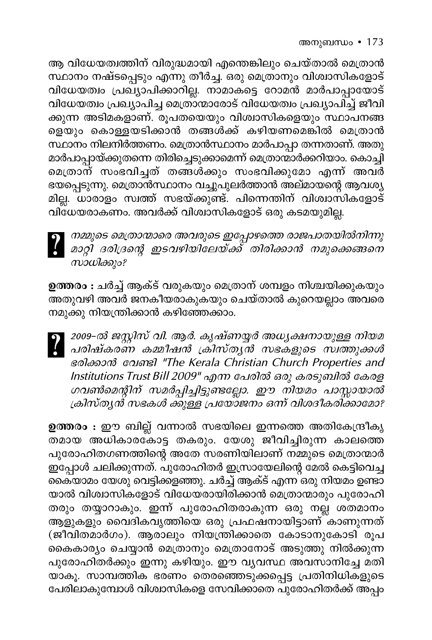ആ വിധേയത്വത്തിന് വിരുദ്ധമായി എന്തെങ്കിലും ചെയ്താൽ മെത്രാൻ സ്ഥാനം നഷ്ടപ്പെടും എന്നു തീർച്ച. ഒരു മെത്രാനും വിശ്വാസികളോട് വിധേയത്വം പ്രഖ്യാപിക്കാറില്ല. നാമാകട്ടെ റോമൻ മാർപാപ്പായോട് വിധേയത്വം പ്രഖ്യാപിച്ച മെത്രാന്മാരോട് വിധേയത്വം പ്രഖ്യാപിച്ച് ജീവി ക്കുന്ന അടിമകളാണ്. രൂപതയെയും വിശ്വാസികളെയും സ്ഥാപനങ്ങ ളെയും കൊള്ളയടിക്കാൻ തങ്ങൾക്ക് കഴിയണമെങ്കിൽ മെത്രാൻ സ്ഥാനം നിലനിർത്തണം. മെത്രാൻസ്ഥാനം മാർപാപ്പാ തന്നതാണ്. അതു മാർപാപ്പായ്ക്കുതന്നെ തിരിച്ചെടുക്കാമെന്ന് മെത്രാന്മാർക്കറിയാം. കൊച്ചി മെത്രാന് സംഭവിച്ചത് തങ്ങൾക്കും സംഭവിക്കുമോ എന്ന് അവർ ഭയപ്പെടുന്നു. മെത്രാൻസ്ഥാനം വച്ചുപുലർത്താൻ അല്മായന്റെ ആവശ്യ മില്ല. ധാരാളം സ്വത്ത് സഭയ്ക്കുണ്ട്. പിന്നെന്തിന് വിശ്വാസികളോട് വിധേയരാകണം. അവർക്ക് വിശ്വാസികളോട് ഒരു കടമയുമില്ല.



നമ്മുടെ മെത്രാന്മാരെ അവരുടെ ഇപ്പോഴത്തെ രാജപാതയിൽനിന്നു<br>മാറ്റി ദരിദ്രന്റെ ഇടവഴിയിലേയ്ക്ക് തിരിക്കാൻ നമുക്കെങ്ങനെ സാധിക്കും?

**ഉത്തരം :** ചർച്ച് ആക്ട് വരുകയും മെത്രാന് ശമ്പളം നിശ്ചയിക്കുകയും .<br>നമുക്കു നിയന്ത്രിക്കാൻ കഴിഞ്ഞേക്കാം.

| 2009-ൽ ജസ്റ്റിസ് വി. ആർ. കൃഷ്ണയ്യർ അധ്യക്ഷനായുള്ള നിയമ<br>| പരിഷ്കരണ കമ്മീഷൻ ക്രിസ്ത്യൻ സഭകളുടെ സ്വത്തുക്കൾ sอใออวกจิ coumel "The Kerala Christian Church Properties and Institutions Trust Bill 2009" എന്ന പേരിൽ ഒരു കരടുബിൽ കേരള *.................*<br>ഗവൺമെന്റിന് സമർപ്പിച്ചിട്ടുണ്ടല്ലോ. ഈ നിയമം പാസ്സായാൽ ക്രിസ്തൃന്ദ് സഭകൾ ക്കുള്ള പ്രയോജനം ഒന്ന് വിശദീകരിക്കാമോ?

ഉത്തരം : ഈ ബില്ല് വന്നാൽ സഭയിലെ ഇന്നത്തെ അതികേന്ദ്രീകൃ തമായ അധികാരകോട്ട തകരും. യേശു ജീവിച്ചിരുന്ന കാലത്തെ പുരോഹിതഗണത്തിന്റെ അതേ സരണിയിലാണ് നമ്മുടെ മെത്രാന്മാർ .<br>ഇപ്പോൾ ചലിക്കുന്നത്. പുരോഹിതർ ഇസ്രായേലിന്റെ മേൽ കെട്ടിവെച്ച കൈയാമം യേശു വെട്ടിക്കളഞ്ഞു. ചർച്ച് ആക്ട് എന്ന ഒരു നിയമം ഉണ്ടാ യാൽ വിശ്വാസികളോട് വിധേയരായിരിക്കാൻ മെത്രാന്മാരും പുരോഹി തരും തയ്യാറാകും. ഇന്ന് പുരോഹിതരാകുന്ന ഒരു നല്ല് ശതമാനം ആളുകളും വൈദികവൃത്തിയെ ഒരു പ്രഫഷനായിട്ടാണ്്കാണുന്നത് (ജീവിതമാർഗം). ആരാലും നിയന്ത്രിക്കാതെ കോടാനുകോടി രൂപ കൈകാര്യം ചെയ്യാൻ മെത്രാനും മെത്രാനോട് അടുത്തു നിൽക്കുന്ന പുരോഹിതർക്കും ഇന്നു കഴിയും. ഈ വ്യവസ്ഥ അവസാനിച്ചേ മതി യാകൂ. സാമ്പത്തിക ഭരണം തെരഞ്ഞെടുക്കപ്പെട്ട പ്രതിനിധികളുടെ പേരിലാകുമ്പോൾ വിശാസികളെ സേവിക്കാതെ പുരോഹിതർക്ക് അപ്പം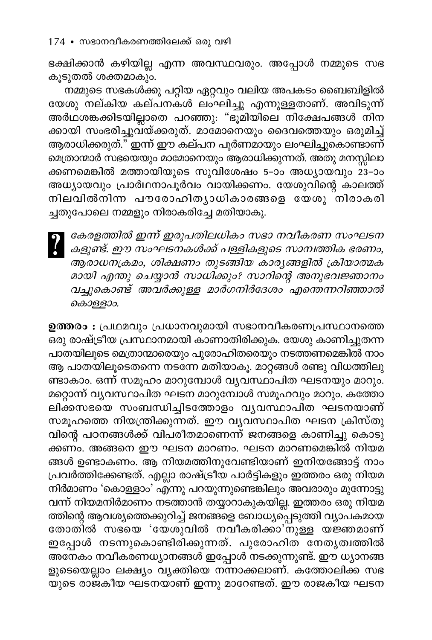ഭക്ഷിക്കാൻ കഴിയില്ല എന്ന അവസ്ഥവരും. അപ്പോൾ നമ്മുടെ സഭ കൂടുതൽ ശക്തമാകും.

നമ്മുടെ സഭകൾക്കു പറ്റിയ ഏറ്റവും വലിയ അപകടം ബൈബിളിൽ യേശു നല്കിയ കല്പനകൾ ലംഘിച്ചു എന്നുള്ളതാണ്. അവിടുന്ന് അർഥശങ്കക്കിടയില്ലാതെ പറഞ്ഞു: "ഭൂമിയിലെ നിക്ഷേപങ്ങൾ നിന ക്കായി സംഭരിച്ചുവയ്ക്കരുത്. മാമോനെയും ദൈവത്തെയും ഒരുമിച്ച് ആരാധിക്കരുത്." ഇന്ന് ഈ കല്പന പൂർണമായും ലംഘിച്ചുകൊണ്ടാണ് മെത്രാന്മാർ സഭയെയും മാമോനെയും ആരാധിക്കുന്നത്. അതു മനസ്സിലാ ക്കണമെങ്കിൽ മത്തായിയുടെ സുവിശേഷം 5-ാം അധ്യായവും 23-ാം അധ്യായവും പ്രാർഥനാപൂർവം വായിക്കണം. യേശുവിന്റെ കാലത്ത് നിലവിൽനിന്ന പൗരോഹിതൃാധികാരങ്ങളെ യേശു നിരാകരി ച്ചതുപോലെ നമ്മളും നിരാകരിച്ചേ മതിയാകൂ.

കേരളത്തിൽ ഇന്ന് ഇരുപതിലധികം സഭാ നവീകരണ സംഘടന കളുണ്ട്. ഈ സംഘടനകൾക്ക് പള്ളികളുടെ സാമ്പത്തിക ഭരണം, ആരാധനക്രമം, ശിക്ഷണം തുടങ്ങിയ കാര്യങ്ങളിൽ ക്രിയാത്മക മായി എന്തു ചെയ്യാൻ സാധിക്കും? സാറിന്റെ അനുഭവജ്ഞാനം വച്ചുകൊണ്ട് അവർക്കുള്ള മാർഗനിർദേശം എന്തെന്നറിഞ്ഞാൽ കൊള്ളാം.

ഉത്തരം : പ്രഥമവും പ്രധാനവുമായി സഭാനവീകരണപ്രസ്ഥാനത്തെ –<br>ഒരു രാഷ്ട്രീയ പ്രസ്ഥാനമായി കാണാതിരിക്കുക. യേശു കാണിച്ചുതന്ന പാതയിലൂടെ മെത്രാന്മാരെയും പുരോഹിതരെയും നടത്തണമെങ്കിൽ നാം ആ പാതയിലൂടെതന്നെ നടന്നേ മതിയാകൂ. മാറ്റങ്ങൾ രണ്ടു വിധത്തിലു ണ്ടാകാം. ഒന്ന് സമൂഹം മാറുമ്പോൾ വ്യവസ്ഥാപിത ഘടനയും മാറും. മറ്റൊന്ന് വ്യവസ്ഥാപിത ഘടന മാറുമ്പോൾ സമൂഹവും മാറും. കത്തോ ലിക്കസഭയെ സംബന്ധിച്ചിടത്തോളം വൃവസ്ഥാപിത ഘടനയാണ് സമൂഹത്തെ നിയന്ത്രിക്കുന്നത്. ഈ വൃവസ്ഥാപിത ഘടന ക്രിസ്തു വിന്റെ പഠനങ്ങൾക്ക് വിപരീതമാണെന്ന് ജനങ്ങളെ കാണിച്ചു കൊടു് ക്കണ്ം. അങ്ങനെ ഈ ഘടന മാറണം. ഘടന മാറണമെങ്കിൽ നിയമ ങ്ങൾ ഉണ്ടാകണം. ആ നിയമത്തിനുവേണ്ടിയാണ് ഇനിയങ്ങോട്ട് നാം പ്രവർത്തിക്കേണ്ടത്. എല്ലാ രാഷ്ട്രീയ പാർട്ടികളും ഇത്തരം ഒരു നിയമ നിർമാണം 'കൊള്ളാം' എ്ന്നു പറയുന്നുണ്ടെങ്കിലും അവരാരും മുന്നോട്ടു വന്ന് നിയമനിർമാണം നടത്താൻ തയ്യാറാകുകയില്ല. ഇത്തരം ഒരു നിയമ ത്തിന്റെ ആവശ്യത്തെക്കുറിച്ച് ജനങ്ങളെ ബോധ്യപ്പെടുത്തി വ്യാപകമായ തോതിൽ സഭയെ 'യേശുവിൽ നവീകരിക്കാ'നുള്ള യജ്ഞമാണ് ഇപ്പോൾ നടന്നുകൊണ്ടിരിക്കുന്നത്. പുരോഹിത<sup>്</sup>നേതൃത്വത്തിൽ — പ<br>അനേകം നവീകരണധ്യാനങ്ങൾ ഇപ്പോൾ നടക്കുന്നുണ്ട്. ഈ ധ്യാനങ്ങ ളുടെയെല്ലാം ലക്ഷ്യം വ്യക്തിയെ നന്നാക്കലാണ്. കത്തോലിക്ക സഭ യുടെ രാജകീയ ഘടനയാണ് ഇന്നു മാറേണ്ടത്. ഈ രാജകീയ ഘടന